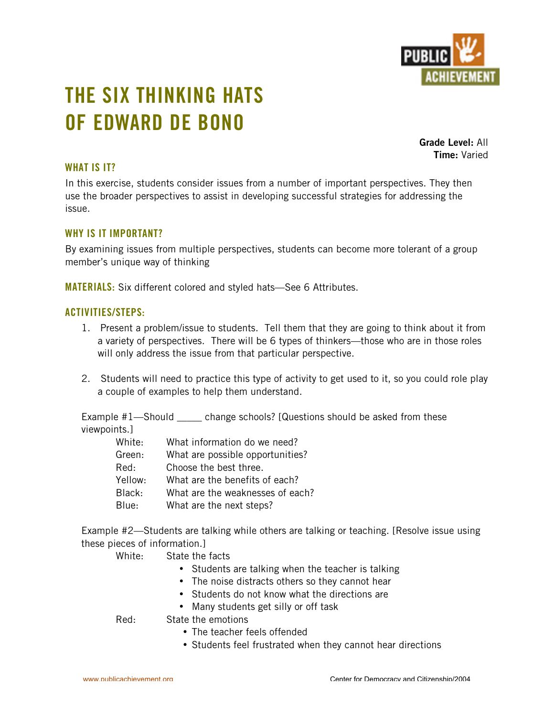

# **THE SIX THINKING HATS OF EDWARD DE BONO**

**Grade Level:** All **Time:** Varied

## **WHAT IS IT?**

In this exercise, students consider issues from a number of important perspectives. They then use the broader perspectives to assist in developing successful strategies for addressing the issue.

## **WHY IS IT IMPORTANT?**

By examining issues from multiple perspectives, students can become more tolerant of a group member's unique way of thinking

**MATERIALS:** Six different colored and styled hats—See 6 Attributes.

#### **ACTIVITIES/STEPS:**

- 1. Present a problem/issue to students. Tell them that they are going to think about it from a variety of perspectives. There will be 6 types of thinkers—those who are in those roles will only address the issue from that particular perspective.
- 2. Students will need to practice this type of activity to get used to it, so you could role play a couple of examples to help them understand.

Example #1—Should \_\_\_\_\_ change schools? [Questions should be asked from these viewpoints.]

| White:  | What information do we need?     |
|---------|----------------------------------|
| Green:  | What are possible opportunities? |
| Red:    | Choose the best three.           |
| Yellow: | What are the benefits of each?   |
| Black:  | What are the weaknesses of each? |
| Blue:   | What are the next steps?         |

Example #2—Students are talking while others are talking or teaching. [Resolve issue using these pieces of information.]

| White: | State the facts                                           |
|--------|-----------------------------------------------------------|
|        | Students are talking when the teacher is talking          |
|        | The noise distracts others so they cannot hear            |
|        | Students do not know what the directions are              |
|        | Many students get silly or off task                       |
| Red:   | State the emotions                                        |
|        | The teacher feels offended                                |
|        | Students feel frustrated when they cannot hear directions |
|        |                                                           |